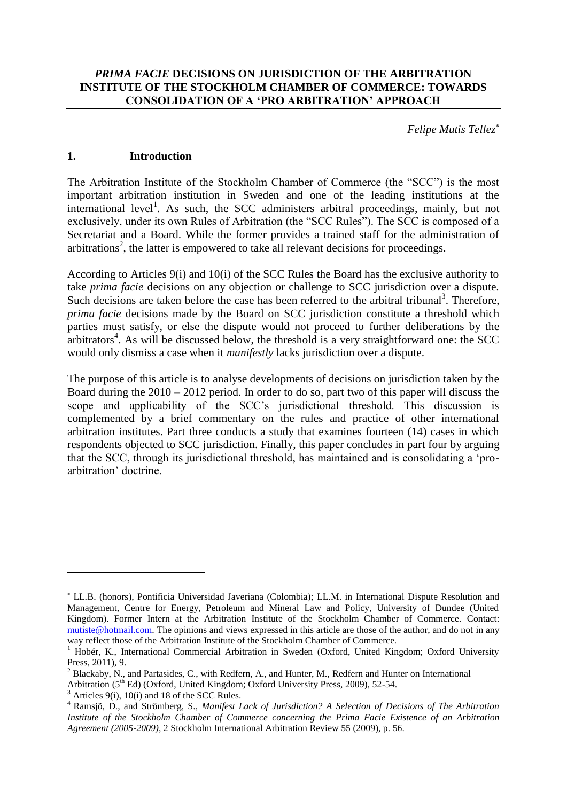*Felipe Mutis Tellez*

### **1. Introduction**

The Arbitration Institute of the Stockholm Chamber of Commerce (the "SCC") is the most important arbitration institution in Sweden and one of the leading institutions at the international level<sup>1</sup>. As such, the SCC administers arbitral proceedings, mainly, but not exclusively, under its own Rules of Arbitration (the "SCC Rules"). The SCC is composed of a Secretariat and a Board. While the former provides a trained staff for the administration of arbitrations<sup>2</sup>, the latter is empowered to take all relevant decisions for proceedings.

According to Articles 9(i) and 10(i) of the SCC Rules the Board has the exclusive authority to take *prima facie* decisions on any objection or challenge to SCC jurisdiction over a dispute. Such decisions are taken before the case has been referred to the arbitral tribunal<sup>3</sup>. Therefore, *prima facie* decisions made by the Board on SCC jurisdiction constitute a threshold which parties must satisfy, or else the dispute would not proceed to further deliberations by the  $arbitrators<sup>4</sup>$ . As will be discussed below, the threshold is a very straightforward one: the SCC would only dismiss a case when it *manifestly* lacks jurisdiction over a dispute.

The purpose of this article is to analyse developments of decisions on jurisdiction taken by the Board during the  $2010 - 2012$  period. In order to do so, part two of this paper will discuss the scope and applicability of the SCC's jurisdictional threshold. This discussion is complemented by a brief commentary on the rules and practice of other international arbitration institutes. Part three conducts a study that examines fourteen (14) cases in which respondents objected to SCC jurisdiction. Finally, this paper concludes in part four by arguing that the SCC, through its jurisdictional threshold, has maintained and is consolidating a 'proarbitration' doctrine.

1

LL.B. (honors), Pontificia Universidad Javeriana (Colombia); LL.M. in International Dispute Resolution and Management, Centre for Energy, Petroleum and Mineral Law and Policy, University of Dundee (United Kingdom). Former Intern at the Arbitration Institute of the Stockholm Chamber of Commerce. Contact: [mutiste@hotmail.com.](mailto:mutiste@hotmail.com) The opinions and views expressed in this article are those of the author, and do not in any way reflect those of the Arbitration Institute of the Stockholm Chamber of Commerce.

<sup>&</sup>lt;sup>1</sup> Hobér, K., International Commercial Arbitration in Sweden (Oxford, United Kingdom; Oxford University Press, 2011), 9.

<sup>&</sup>lt;sup>2</sup> Blackaby, N., and Partasides, C., with Redfern, A., and Hunter, M., Redfern and Hunter on International

Arbitration (5<sup>th</sup> Ed) (Oxford, United Kingdom; Oxford University Press, 2009), 52-54.

Articles  $9(i)$ , 10(i) and 18 of the SCC Rules.

<sup>4</sup> Ramsjö, D., and Strömberg, S., *Manifest Lack of Jurisdiction? A Selection of Decisions of The Arbitration Institute of the Stockholm Chamber of Commerce concerning the Prima Facie Existence of an Arbitration Agreement (2005-2009)*, 2 Stockholm International Arbitration Review 55 (2009), p. 56.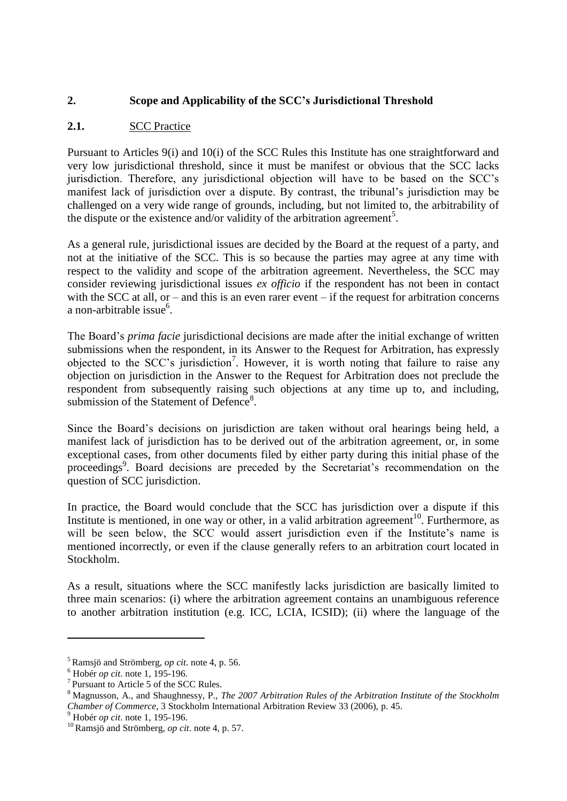# **2. Scope and Applicability of the SCC's Jurisdictional Threshold**

# **2.1.** SCC Practice

Pursuant to Articles 9(i) and 10(i) of the SCC Rules this Institute has one straightforward and very low jurisdictional threshold, since it must be manifest or obvious that the SCC lacks jurisdiction. Therefore, any jurisdictional objection will have to be based on the SCC's manifest lack of jurisdiction over a dispute. By contrast, the tribunal's jurisdiction may be challenged on a very wide range of grounds, including, but not limited to, the arbitrability of the dispute or the existence and/or validity of the arbitration agreement<sup>5</sup>.

As a general rule, jurisdictional issues are decided by the Board at the request of a party, and not at the initiative of the SCC. This is so because the parties may agree at any time with respect to the validity and scope of the arbitration agreement. Nevertheless, the SCC may consider reviewing jurisdictional issues *ex officio* if the respondent has not been in contact with the SCC at all, or – and this is an even rarer event – if the request for arbitration concerns a non-arbitrable issue<sup>6</sup>.

The Board's *prima facie* jurisdictional decisions are made after the initial exchange of written submissions when the respondent, in its Answer to the Request for Arbitration, has expressly objected to the SCC's jurisdiction<sup>7</sup>. However, it is worth noting that failure to raise any objection on jurisdiction in the Answer to the Request for Arbitration does not preclude the respondent from subsequently raising such objections at any time up to, and including, submission of the Statement of Defence<sup>8</sup>.

Since the Board's decisions on jurisdiction are taken without oral hearings being held, a manifest lack of jurisdiction has to be derived out of the arbitration agreement, or, in some exceptional cases, from other documents filed by either party during this initial phase of the proceedings<sup>9</sup>. Board decisions are preceded by the Secretariat's recommendation on the question of SCC jurisdiction.

In practice, the Board would conclude that the SCC has jurisdiction over a dispute if this Institute is mentioned, in one way or other, in a valid arbitration agreement<sup>10</sup>. Furthermore, as will be seen below, the SCC would assert jurisdiction even if the Institute's name is mentioned incorrectly, or even if the clause generally refers to an arbitration court located in Stockholm.

As a result, situations where the SCC manifestly lacks jurisdiction are basically limited to three main scenarios: (i) where the arbitration agreement contains an unambiguous reference to another arbitration institution (e.g. ICC, LCIA, ICSID); (ii) where the language of the

<u>.</u>

<sup>5</sup> Ramsjö and Strömberg, *op cit*. note 4, p. 56.

<sup>6</sup> Hobér *op cit*. note 1, 195-196.

<sup>7</sup> Pursuant to Article 5 of the SCC Rules.

<sup>8</sup> Magnusson, A., and Shaughnessy, P., *The 2007 Arbitration Rules of the Arbitration Institute of the Stockholm Chamber of Commerce*, 3 Stockholm International Arbitration Review 33 (2006), p. 45.

<sup>9</sup> Hobér *op cit*. note 1, 195-196.

<sup>10</sup> Ramsjö and Strömberg, *op cit*. note 4, p. 57.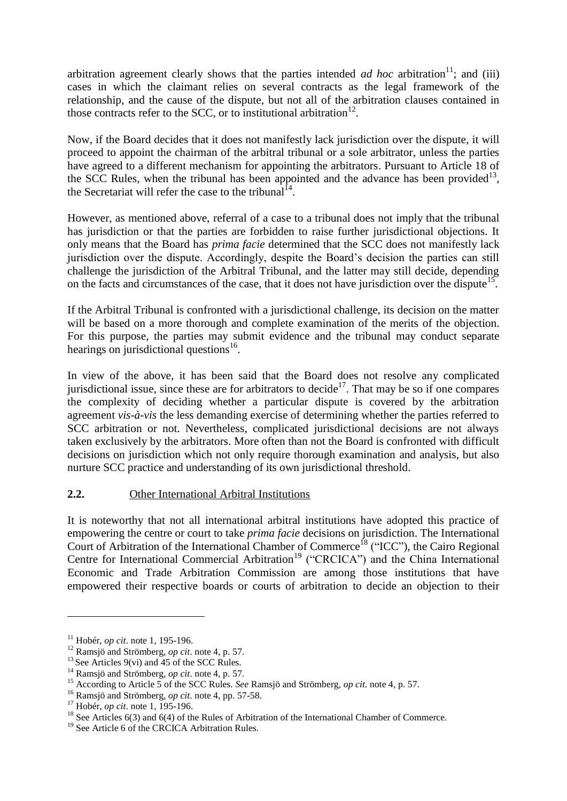arbitration agreement clearly shows that the parties intended *ad hoc* arbitration<sup>11</sup>; and (iii) cases in which the claimant relies on several contracts as the legal framework of the relationship, and the cause of the dispute, but not all of the arbitration clauses contained in those contracts refer to the SCC, or to institutional arbitration<sup>12</sup>.

Now, if the Board decides that it does not manifestly lack jurisdiction over the dispute, it will proceed to appoint the chairman of the arbitral tribunal or a sole arbitrator, unless the parties have agreed to a different mechanism for appointing the arbitrators. Pursuant to Article 18 of the SCC Rules, when the tribunal has been appointed and the advance has been provided<sup>13</sup>, the Secretariat will refer the case to the tribunal  $14$ .

However, as mentioned above, referral of a case to a tribunal does not imply that the tribunal has jurisdiction or that the parties are forbidden to raise further jurisdictional objections. It only means that the Board has *prima facie* determined that the SCC does not manifestly lack jurisdiction over the dispute. Accordingly, despite the Board's decision the parties can still challenge the jurisdiction of the Arbitral Tribunal, and the latter may still decide, depending on the facts and circumstances of the case, that it does not have jurisdiction over the dispute<sup>15</sup>.

If the Arbitral Tribunal is confronted with a jurisdictional challenge, its decision on the matter will be based on a more thorough and complete examination of the merits of the objection. For this purpose, the parties may submit evidence and the tribunal may conduct separate hearings on jurisdictional questions $^{16}$ .

In view of the above, it has been said that the Board does not resolve any complicated jurisdictional issue, since these are for arbitrators to decide<sup>17</sup>. That may be so if one compares the complexity of deciding whether a particular dispute is covered by the arbitration agreement *vis-à-vis* the less demanding exercise of determining whether the parties referred to SCC arbitration or not. Nevertheless, complicated jurisdictional decisions are not always taken exclusively by the arbitrators. More often than not the Board is confronted with difficult decisions on jurisdiction which not only require thorough examination and analysis, but also nurture SCC practice and understanding of its own jurisdictional threshold.

# **2.2.** Other International Arbitral Institutions

It is noteworthy that not all international arbitral institutions have adopted this practice of empowering the centre or court to take *prima facie* decisions on jurisdiction. The International Court of Arbitration of the International Chamber of Commerce<sup>18</sup> ("ICC"), the Cairo Regional Centre for International Commercial Arbitration<sup>19</sup> ("CRCICA") and the China International Economic and Trade Arbitration Commission are among those institutions that have empowered their respective boards or courts of arbitration to decide an objection to their

1

<sup>11</sup> Hobér, *op cit*. note 1, 195-196.

<sup>12</sup> Ramsjö and Strömberg, *op cit*. note 4, p. 57.

<sup>&</sup>lt;sup>13</sup> See Articles 9(vi) and  $\overline{45}$  of the SCC Rules.

<sup>14</sup> Ramsjö and Strömberg, *op cit*. note 4, p. 57.

<sup>15</sup> According to Article 5 of the SCC Rules. *See* Ramsjö and Strömberg, *op cit*. note 4, p. 57.

<sup>16</sup> Ramsjö and Strömberg, *op cit*. note 4, pp. 57-58.

<sup>17</sup> Hobér, *op cit*. note 1, 195-196.

<sup>&</sup>lt;sup>18</sup> See Articles 6(3) and 6(4) of the Rules of Arbitration of the International Chamber of Commerce.

<sup>&</sup>lt;sup>19</sup> See Article 6 of the CRCICA Arbitration Rules.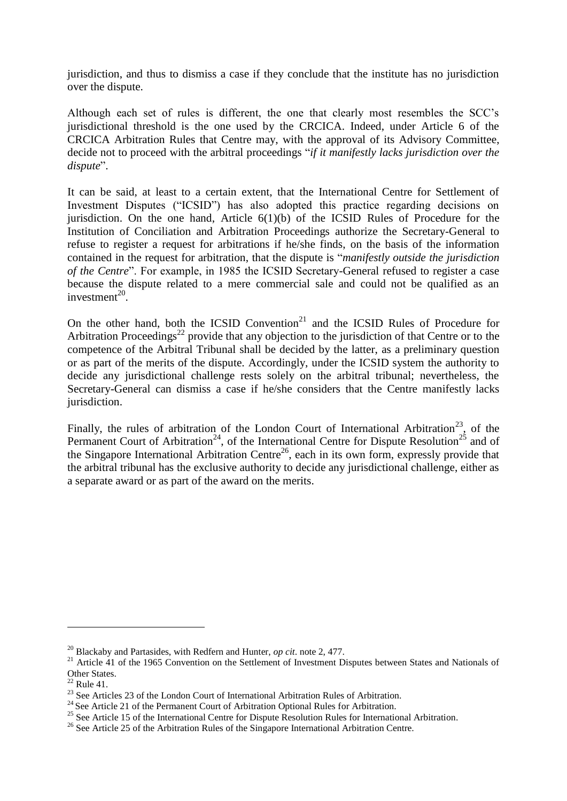jurisdiction, and thus to dismiss a case if they conclude that the institute has no jurisdiction over the dispute.

Although each set of rules is different, the one that clearly most resembles the SCC's jurisdictional threshold is the one used by the CRCICA. Indeed, under Article 6 of the CRCICA Arbitration Rules that Centre may, with the approval of its Advisory Committee, decide not to proceed with the arbitral proceedings "*if it manifestly lacks jurisdiction over the dispute*".

It can be said, at least to a certain extent, that the International Centre for Settlement of Investment Disputes ("ICSID") has also adopted this practice regarding decisions on jurisdiction. On the one hand, Article  $6(1)(b)$  of the ICSID Rules of Procedure for the Institution of Conciliation and Arbitration Proceedings authorize the Secretary-General to refuse to register a request for arbitrations if he/she finds, on the basis of the information contained in the request for arbitration, that the dispute is "*manifestly outside the jurisdiction of the Centre*". For example, in 1985 the ICSID Secretary-General refused to register a case because the dispute related to a mere commercial sale and could not be qualified as an investment $^{20}$ .

On the other hand, both the ICSID Convention<sup>21</sup> and the ICSID Rules of Procedure for Arbitration Proceedings<sup>22</sup> provide that any objection to the jurisdiction of that Centre or to the competence of the Arbitral Tribunal shall be decided by the latter, as a preliminary question or as part of the merits of the dispute. Accordingly, under the ICSID system the authority to decide any jurisdictional challenge rests solely on the arbitral tribunal; nevertheless, the Secretary-General can dismiss a case if he/she considers that the Centre manifestly lacks jurisdiction.

Finally, the rules of arbitration of the London Court of International Arbitration<sup>23</sup>, of the Permanent Court of Arbitration<sup>24</sup>, of the International Centre for Dispute Resolution<sup>25</sup> and of the Singapore International Arbitration Centre<sup>26</sup>, each in its own form, expressly provide that the arbitral tribunal has the exclusive authority to decide any jurisdictional challenge, either as a separate award or as part of the award on the merits.

1

<sup>20</sup> Blackaby and Partasides, with Redfern and Hunter, *op cit*. note 2, 477.

<sup>&</sup>lt;sup>21</sup> Article 41 of the 1965 Convention on the Settlement of Investment Disputes between States and Nationals of Other States.

 $22$  Rule 41.

<sup>&</sup>lt;sup>23</sup> See Articles 23 of the London Court of International Arbitration Rules of Arbitration.

<sup>&</sup>lt;sup>24</sup> See Article 21 of the Permanent Court of Arbitration Optional Rules for Arbitration.

<sup>&</sup>lt;sup>25</sup> See Article 15 of the International Centre for Dispute Resolution Rules for International Arbitration.

<sup>&</sup>lt;sup>26</sup> See Article 25 of the Arbitration Rules of the Singapore International Arbitration Centre.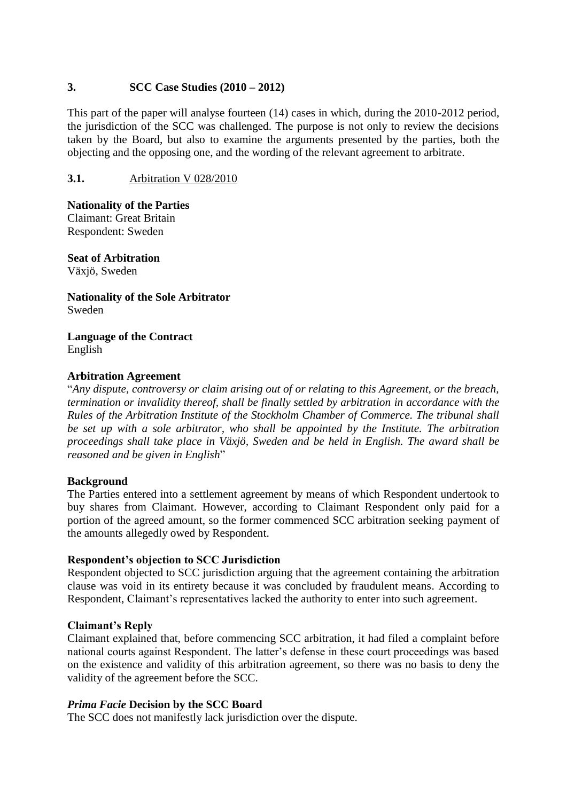## **3. SCC Case Studies (2010 – 2012)**

This part of the paper will analyse fourteen (14) cases in which, during the 2010-2012 period, the jurisdiction of the SCC was challenged. The purpose is not only to review the decisions taken by the Board, but also to examine the arguments presented by the parties, both the objecting and the opposing one, and the wording of the relevant agreement to arbitrate.

## **3.1.** Arbitration V 028/2010

**Nationality of the Parties** Claimant: Great Britain Respondent: Sweden

**Seat of Arbitration** Växjö, Sweden

**Nationality of the Sole Arbitrator** Sweden

**Language of the Contract** English

### **Arbitration Agreement**

"*Any dispute, controversy or claim arising out of or relating to this Agreement, or the breach, termination or invalidity thereof, shall be finally settled by arbitration in accordance with the Rules of the Arbitration Institute of the Stockholm Chamber of Commerce. The tribunal shall be set up with a sole arbitrator, who shall be appointed by the Institute. The arbitration proceedings shall take place in Växjö, Sweden and be held in English. The award shall be reasoned and be given in English*"

#### **Background**

The Parties entered into a settlement agreement by means of which Respondent undertook to buy shares from Claimant. However, according to Claimant Respondent only paid for a portion of the agreed amount, so the former commenced SCC arbitration seeking payment of the amounts allegedly owed by Respondent.

### **Respondent's objection to SCC Jurisdiction**

Respondent objected to SCC jurisdiction arguing that the agreement containing the arbitration clause was void in its entirety because it was concluded by fraudulent means. According to Respondent, Claimant's representatives lacked the authority to enter into such agreement.

#### **Claimant's Reply**

Claimant explained that, before commencing SCC arbitration, it had filed a complaint before national courts against Respondent. The latter's defense in these court proceedings was based on the existence and validity of this arbitration agreement, so there was no basis to deny the validity of the agreement before the SCC.

#### *Prima Facie* **Decision by the SCC Board**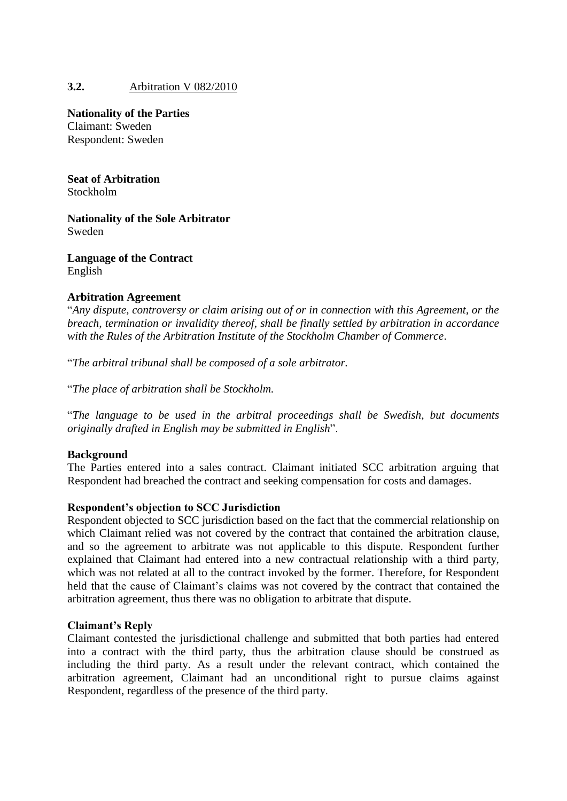# **3.2.** Arbitration V 082/2010

**Nationality of the Parties**

Claimant: Sweden Respondent: Sweden

**Seat of Arbitration**

Stockholm

**Nationality of the Sole Arbitrator** Sweden

**Language of the Contract** English

### **Arbitration Agreement**

"*Any dispute, controversy or claim arising out of or in connection with this Agreement, or the breach, termination or invalidity thereof, shall be finally settled by arbitration in accordance with the Rules of the Arbitration Institute of the Stockholm Chamber of Commerce*.

"*The arbitral tribunal shall be composed of a sole arbitrator.*

"*The place of arbitration shall be Stockholm.*

"*The language to be used in the arbitral proceedings shall be Swedish, but documents originally drafted in English may be submitted in English*".

### **Background**

The Parties entered into a sales contract. Claimant initiated SCC arbitration arguing that Respondent had breached the contract and seeking compensation for costs and damages.

#### **Respondent's objection to SCC Jurisdiction**

Respondent objected to SCC jurisdiction based on the fact that the commercial relationship on which Claimant relied was not covered by the contract that contained the arbitration clause, and so the agreement to arbitrate was not applicable to this dispute. Respondent further explained that Claimant had entered into a new contractual relationship with a third party, which was not related at all to the contract invoked by the former. Therefore, for Respondent held that the cause of Claimant's claims was not covered by the contract that contained the arbitration agreement, thus there was no obligation to arbitrate that dispute.

#### **Claimant's Reply**

Claimant contested the jurisdictional challenge and submitted that both parties had entered into a contract with the third party, thus the arbitration clause should be construed as including the third party. As a result under the relevant contract, which contained the arbitration agreement, Claimant had an unconditional right to pursue claims against Respondent, regardless of the presence of the third party.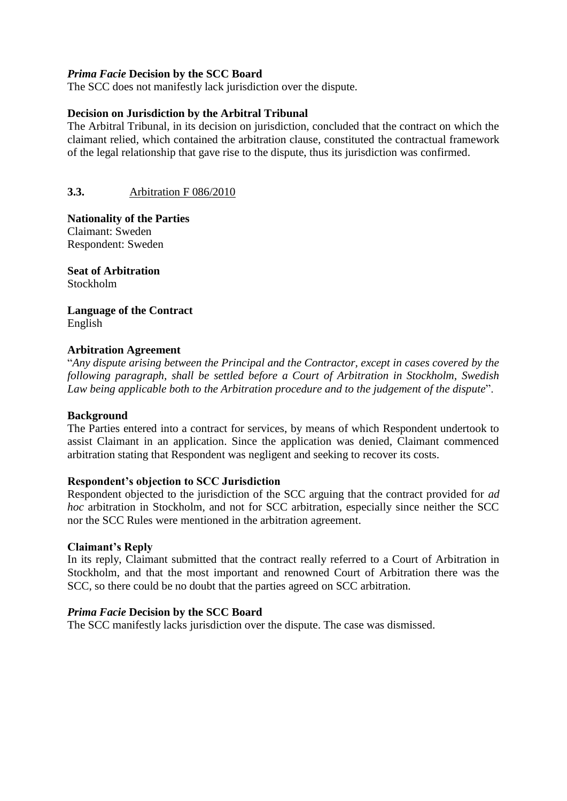### *Prima Facie* **Decision by the SCC Board**

The SCC does not manifestly lack jurisdiction over the dispute.

### **Decision on Jurisdiction by the Arbitral Tribunal**

The Arbitral Tribunal, in its decision on jurisdiction, concluded that the contract on which the claimant relied, which contained the arbitration clause, constituted the contractual framework of the legal relationship that gave rise to the dispute, thus its jurisdiction was confirmed.

## **3.3.** Arbitration F 086/2010

**Nationality of the Parties** Claimant: Sweden Respondent: Sweden

**Seat of Arbitration** Stockholm

**Language of the Contract** English

### **Arbitration Agreement**

"*Any dispute arising between the Principal and the Contractor, except in cases covered by the following paragraph, shall be settled before a Court of Arbitration in Stockholm, Swedish Law being applicable both to the Arbitration procedure and to the judgement of the dispute*".

### **Background**

The Parties entered into a contract for services, by means of which Respondent undertook to assist Claimant in an application. Since the application was denied, Claimant commenced arbitration stating that Respondent was negligent and seeking to recover its costs.

### **Respondent's objection to SCC Jurisdiction**

Respondent objected to the jurisdiction of the SCC arguing that the contract provided for *ad hoc* arbitration in Stockholm, and not for SCC arbitration, especially since neither the SCC nor the SCC Rules were mentioned in the arbitration agreement.

### **Claimant's Reply**

In its reply, Claimant submitted that the contract really referred to a Court of Arbitration in Stockholm, and that the most important and renowned Court of Arbitration there was the SCC, so there could be no doubt that the parties agreed on SCC arbitration.

### *Prima Facie* **Decision by the SCC Board**

The SCC manifestly lacks jurisdiction over the dispute. The case was dismissed.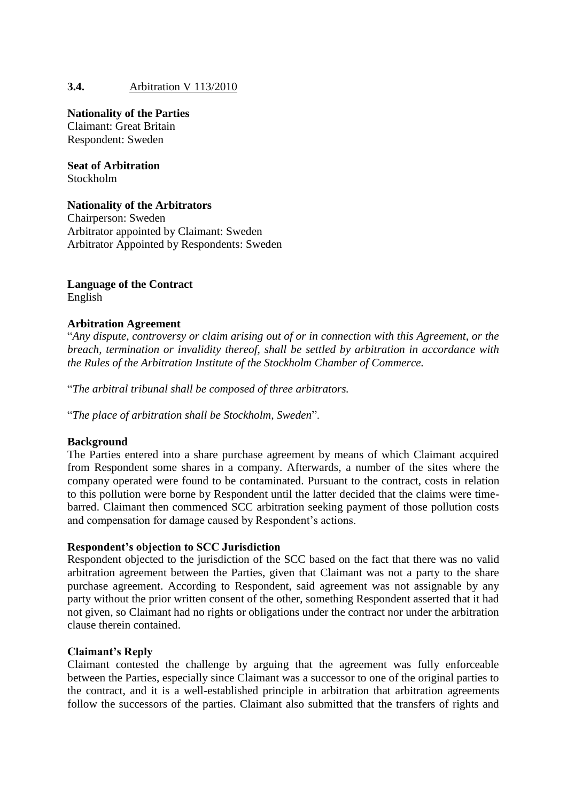# **3.4.** Arbitration V 113/2010

### **Nationality of the Parties**

Claimant: Great Britain Respondent: Sweden

**Seat of Arbitration** Stockholm

### **Nationality of the Arbitrators**

Chairperson: Sweden Arbitrator appointed by Claimant: Sweden Arbitrator Appointed by Respondents: Sweden

### **Language of the Contract** English

## **Arbitration Agreement**

"*Any dispute, controversy or claim arising out of or in connection with this Agreement, or the breach, termination or invalidity thereof, shall be settled by arbitration in accordance with the Rules of the Arbitration Institute of the Stockholm Chamber of Commerce.*

"*The arbitral tribunal shall be composed of three arbitrators.* 

"*The place of arbitration shall be Stockholm, Sweden*".

### **Background**

The Parties entered into a share purchase agreement by means of which Claimant acquired from Respondent some shares in a company. Afterwards, a number of the sites where the company operated were found to be contaminated. Pursuant to the contract, costs in relation to this pollution were borne by Respondent until the latter decided that the claims were timebarred. Claimant then commenced SCC arbitration seeking payment of those pollution costs and compensation for damage caused by Respondent's actions.

### **Respondent's objection to SCC Jurisdiction**

Respondent objected to the jurisdiction of the SCC based on the fact that there was no valid arbitration agreement between the Parties, given that Claimant was not a party to the share purchase agreement. According to Respondent, said agreement was not assignable by any party without the prior written consent of the other, something Respondent asserted that it had not given, so Claimant had no rights or obligations under the contract nor under the arbitration clause therein contained.

### **Claimant's Reply**

Claimant contested the challenge by arguing that the agreement was fully enforceable between the Parties, especially since Claimant was a successor to one of the original parties to the contract, and it is a well-established principle in arbitration that arbitration agreements follow the successors of the parties. Claimant also submitted that the transfers of rights and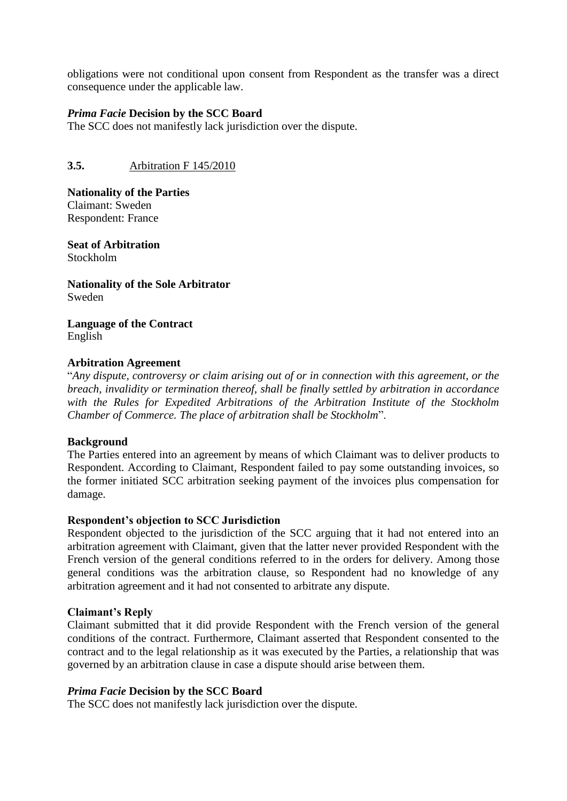obligations were not conditional upon consent from Respondent as the transfer was a direct consequence under the applicable law.

### *Prima Facie* **Decision by the SCC Board**

The SCC does not manifestly lack jurisdiction over the dispute.

**3.5.** Arbitration F 145/2010

**Nationality of the Parties** Claimant: Sweden Respondent: France

**Seat of Arbitration** Stockholm

**Nationality of the Sole Arbitrator** Sweden

**Language of the Contract** English

## **Arbitration Agreement**

"*Any dispute, controversy or claim arising out of or in connection with this agreement, or the breach, invalidity or termination thereof, shall be finally settled by arbitration in accordance with the Rules for Expedited Arbitrations of the Arbitration Institute of the Stockholm Chamber of Commerce. The place of arbitration shall be Stockholm*".

### **Background**

The Parties entered into an agreement by means of which Claimant was to deliver products to Respondent. According to Claimant, Respondent failed to pay some outstanding invoices, so the former initiated SCC arbitration seeking payment of the invoices plus compensation for damage.

### **Respondent's objection to SCC Jurisdiction**

Respondent objected to the jurisdiction of the SCC arguing that it had not entered into an arbitration agreement with Claimant, given that the latter never provided Respondent with the French version of the general conditions referred to in the orders for delivery. Among those general conditions was the arbitration clause, so Respondent had no knowledge of any arbitration agreement and it had not consented to arbitrate any dispute.

### **Claimant's Reply**

Claimant submitted that it did provide Respondent with the French version of the general conditions of the contract. Furthermore, Claimant asserted that Respondent consented to the contract and to the legal relationship as it was executed by the Parties, a relationship that was governed by an arbitration clause in case a dispute should arise between them.

### *Prima Facie* **Decision by the SCC Board**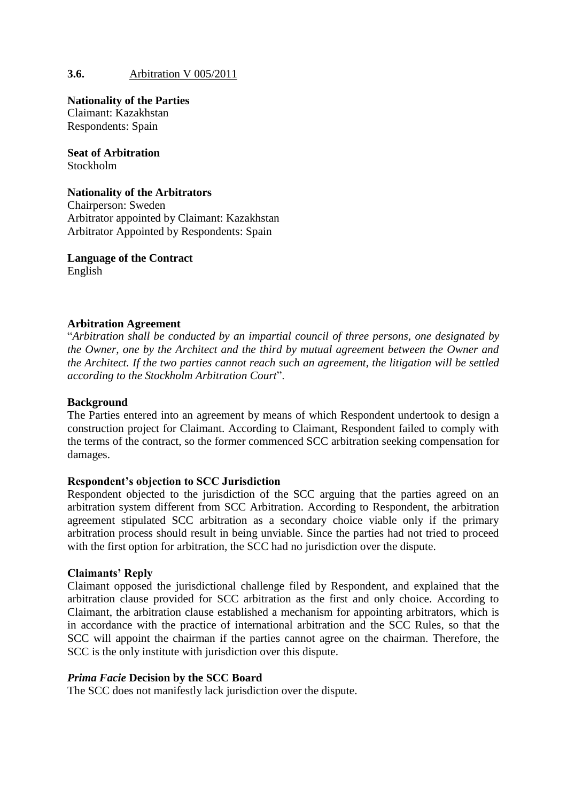## **3.6.** Arbitration V 005/2011

**Nationality of the Parties** Claimant: Kazakhstan Respondents: Spain

**Seat of Arbitration** Stockholm

### **Nationality of the Arbitrators**

Chairperson: Sweden Arbitrator appointed by Claimant: Kazakhstan Arbitrator Appointed by Respondents: Spain

**Language of the Contract** English

#### **Arbitration Agreement**

"*Arbitration shall be conducted by an impartial council of three persons, one designated by the Owner, one by the Architect and the third by mutual agreement between the Owner and the Architect. If the two parties cannot reach such an agreement, the litigation will be settled according to the Stockholm Arbitration Court*".

#### **Background**

The Parties entered into an agreement by means of which Respondent undertook to design a construction project for Claimant. According to Claimant, Respondent failed to comply with the terms of the contract, so the former commenced SCC arbitration seeking compensation for damages.

### **Respondent's objection to SCC Jurisdiction**

Respondent objected to the jurisdiction of the SCC arguing that the parties agreed on an arbitration system different from SCC Arbitration. According to Respondent, the arbitration agreement stipulated SCC arbitration as a secondary choice viable only if the primary arbitration process should result in being unviable. Since the parties had not tried to proceed with the first option for arbitration, the SCC had no jurisdiction over the dispute.

#### **Claimants' Reply**

Claimant opposed the jurisdictional challenge filed by Respondent, and explained that the arbitration clause provided for SCC arbitration as the first and only choice. According to Claimant, the arbitration clause established a mechanism for appointing arbitrators, which is in accordance with the practice of international arbitration and the SCC Rules, so that the SCC will appoint the chairman if the parties cannot agree on the chairman. Therefore, the SCC is the only institute with jurisdiction over this dispute.

### *Prima Facie* **Decision by the SCC Board**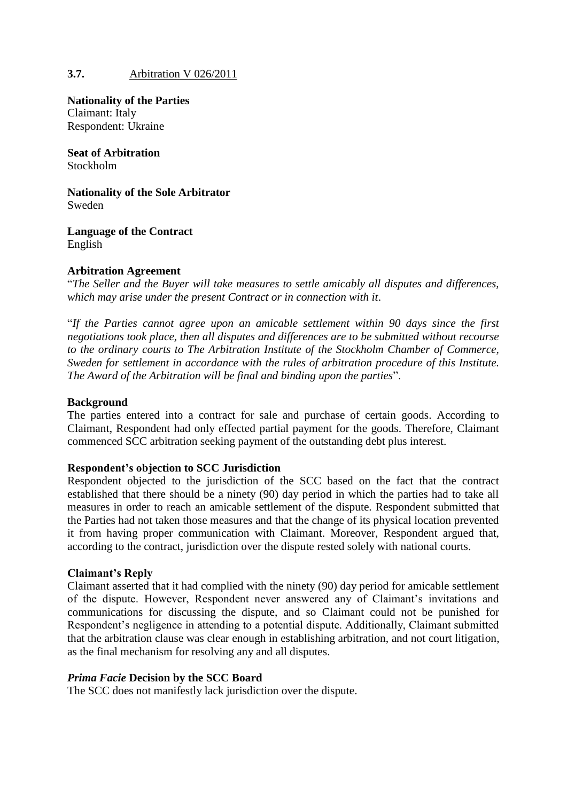## **3.7.** Arbitration V 026/2011

**Nationality of the Parties** Claimant: Italy Respondent: Ukraine

**Seat of Arbitration** Stockholm

**Nationality of the Sole Arbitrator** Sweden

**Language of the Contract** English

### **Arbitration Agreement**

"*The Seller and the Buyer will take measures to settle amicably all disputes and differences, which may arise under the present Contract or in connection with it*.

"*If the Parties cannot agree upon an amicable settlement within 90 days since the first negotiations took place, then all disputes and differences are to be submitted without recourse to the ordinary courts to The Arbitration Institute of the Stockholm Chamber of Commerce, Sweden for settlement in accordance with the rules of arbitration procedure of this Institute. The Award of the Arbitration will be final and binding upon the parties*".

### **Background**

The parties entered into a contract for sale and purchase of certain goods. According to Claimant, Respondent had only effected partial payment for the goods. Therefore, Claimant commenced SCC arbitration seeking payment of the outstanding debt plus interest.

### **Respondent's objection to SCC Jurisdiction**

Respondent objected to the jurisdiction of the SCC based on the fact that the contract established that there should be a ninety (90) day period in which the parties had to take all measures in order to reach an amicable settlement of the dispute. Respondent submitted that the Parties had not taken those measures and that the change of its physical location prevented it from having proper communication with Claimant. Moreover, Respondent argued that, according to the contract, jurisdiction over the dispute rested solely with national courts.

### **Claimant's Reply**

Claimant asserted that it had complied with the ninety (90) day period for amicable settlement of the dispute. However, Respondent never answered any of Claimant's invitations and communications for discussing the dispute, and so Claimant could not be punished for Respondent's negligence in attending to a potential dispute. Additionally, Claimant submitted that the arbitration clause was clear enough in establishing arbitration, and not court litigation, as the final mechanism for resolving any and all disputes.

### *Prima Facie* **Decision by the SCC Board**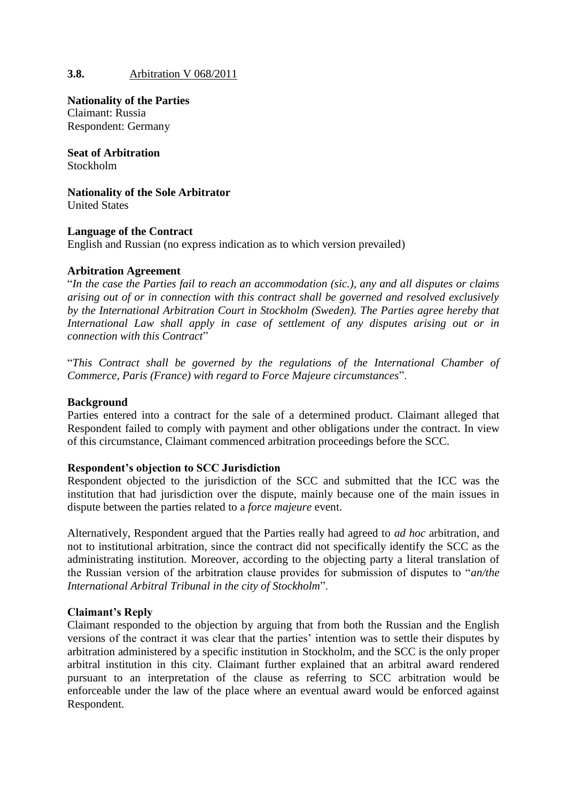# **3.8.** Arbitration V 068/2011

**Nationality of the Parties** Claimant: Russia Respondent: Germany

**Seat of Arbitration** Stockholm

**Nationality of the Sole Arbitrator** United States

### **Language of the Contract**

English and Russian (no express indication as to which version prevailed)

### **Arbitration Agreement**

"*In the case the Parties fail to reach an accommodation (sic.), any and all disputes or claims arising out of or in connection with this contract shall be governed and resolved exclusively by the International Arbitration Court in Stockholm (Sweden). The Parties agree hereby that International Law shall apply in case of settlement of any disputes arising out or in connection with this Contract*"

"*This Contract shall be governed by the regulations of the International Chamber of Commerce, Paris (France) with regard to Force Majeure circumstances*".

#### **Background**

Parties entered into a contract for the sale of a determined product. Claimant alleged that Respondent failed to comply with payment and other obligations under the contract. In view of this circumstance, Claimant commenced arbitration proceedings before the SCC.

### **Respondent's objection to SCC Jurisdiction**

Respondent objected to the jurisdiction of the SCC and submitted that the ICC was the institution that had jurisdiction over the dispute, mainly because one of the main issues in dispute between the parties related to a *force majeure* event.

Alternatively, Respondent argued that the Parties really had agreed to *ad hoc* arbitration, and not to institutional arbitration, since the contract did not specifically identify the SCC as the administrating institution. Moreover, according to the objecting party a literal translation of the Russian version of the arbitration clause provides for submission of disputes to "*an/the International Arbitral Tribunal in the city of Stockholm*".

### **Claimant's Reply**

Claimant responded to the objection by arguing that from both the Russian and the English versions of the contract it was clear that the parties' intention was to settle their disputes by arbitration administered by a specific institution in Stockholm, and the SCC is the only proper arbitral institution in this city. Claimant further explained that an arbitral award rendered pursuant to an interpretation of the clause as referring to SCC arbitration would be enforceable under the law of the place where an eventual award would be enforced against Respondent.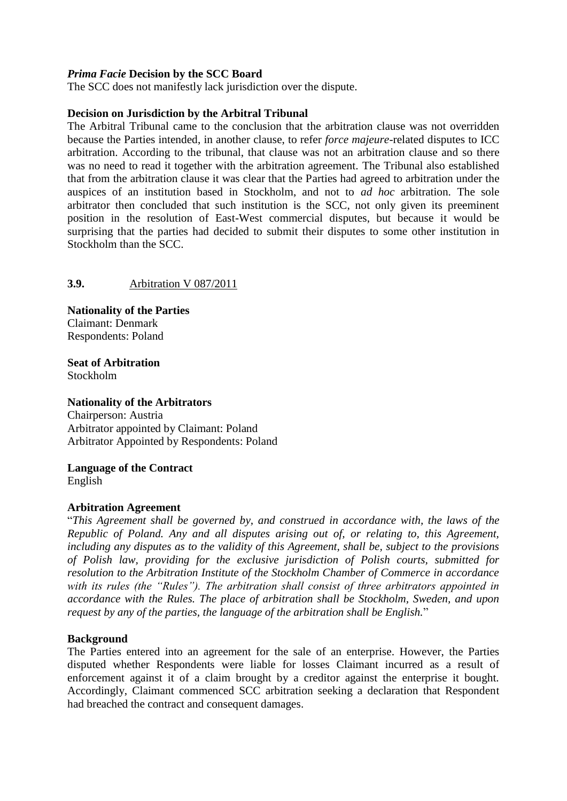### *Prima Facie* **Decision by the SCC Board**

The SCC does not manifestly lack jurisdiction over the dispute.

#### **Decision on Jurisdiction by the Arbitral Tribunal**

The Arbitral Tribunal came to the conclusion that the arbitration clause was not overridden because the Parties intended, in another clause, to refer *force majeure*-related disputes to ICC arbitration. According to the tribunal, that clause was not an arbitration clause and so there was no need to read it together with the arbitration agreement. The Tribunal also established that from the arbitration clause it was clear that the Parties had agreed to arbitration under the auspices of an institution based in Stockholm, and not to *ad hoc* arbitration*.* The sole arbitrator then concluded that such institution is the SCC, not only given its preeminent position in the resolution of East-West commercial disputes, but because it would be surprising that the parties had decided to submit their disputes to some other institution in Stockholm than the SCC.

### **3.9.** Arbitration V 087/2011

**Nationality of the Parties** Claimant: Denmark Respondents: Poland

**Seat of Arbitration** Stockholm

## **Nationality of the Arbitrators**

Chairperson: Austria Arbitrator appointed by Claimant: Poland Arbitrator Appointed by Respondents: Poland

### **Language of the Contract**

English

#### **Arbitration Agreement**

"*This Agreement shall be governed by, and construed in accordance with, the laws of the Republic of Poland. Any and all disputes arising out of, or relating to, this Agreement, including any disputes as to the validity of this Agreement, shall be, subject to the provisions of Polish law, providing for the exclusive jurisdiction of Polish courts, submitted for resolution to the Arbitration Institute of the Stockholm Chamber of Commerce in accordance with its rules (the "Rules"). The arbitration shall consist of three arbitrators appointed in accordance with the Rules. The place of arbitration shall be Stockholm, Sweden, and upon request by any of the parties, the language of the arbitration shall be English.*"

#### **Background**

The Parties entered into an agreement for the sale of an enterprise. However, the Parties disputed whether Respondents were liable for losses Claimant incurred as a result of enforcement against it of a claim brought by a creditor against the enterprise it bought. Accordingly, Claimant commenced SCC arbitration seeking a declaration that Respondent had breached the contract and consequent damages.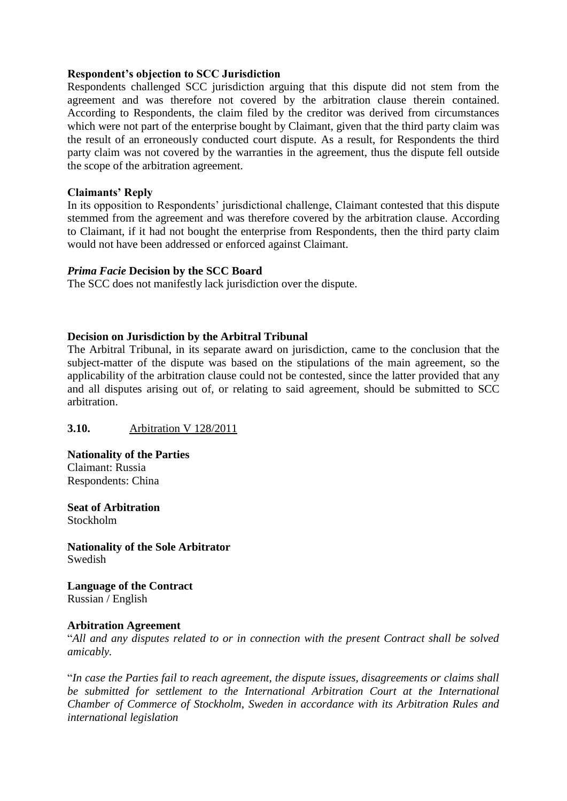### **Respondent's objection to SCC Jurisdiction**

Respondents challenged SCC jurisdiction arguing that this dispute did not stem from the agreement and was therefore not covered by the arbitration clause therein contained. According to Respondents, the claim filed by the creditor was derived from circumstances which were not part of the enterprise bought by Claimant, given that the third party claim was the result of an erroneously conducted court dispute. As a result, for Respondents the third party claim was not covered by the warranties in the agreement, thus the dispute fell outside the scope of the arbitration agreement.

## **Claimants' Reply**

In its opposition to Respondents' jurisdictional challenge, Claimant contested that this dispute stemmed from the agreement and was therefore covered by the arbitration clause. According to Claimant, if it had not bought the enterprise from Respondents, then the third party claim would not have been addressed or enforced against Claimant.

### *Prima Facie* **Decision by the SCC Board**

The SCC does not manifestly lack jurisdiction over the dispute.

## **Decision on Jurisdiction by the Arbitral Tribunal**

The Arbitral Tribunal, in its separate award on jurisdiction, came to the conclusion that the subject-matter of the dispute was based on the stipulations of the main agreement, so the applicability of the arbitration clause could not be contested, since the latter provided that any and all disputes arising out of, or relating to said agreement, should be submitted to SCC arbitration.

# **3.10.** Arbitration V 128/2011

**Nationality of the Parties** Claimant: Russia Respondents: China

**Seat of Arbitration** Stockholm

**Nationality of the Sole Arbitrator** Swedish

**Language of the Contract** Russian / English

### **Arbitration Agreement**

"*All and any disputes related to or in connection with the present Contract shall be solved amicably.*

"*In case the Parties fail to reach agreement, the dispute issues, disagreements or claims shall be submitted for settlement to the International Arbitration Court at the International Chamber of Commerce of Stockholm, Sweden in accordance with its Arbitration Rules and international legislation*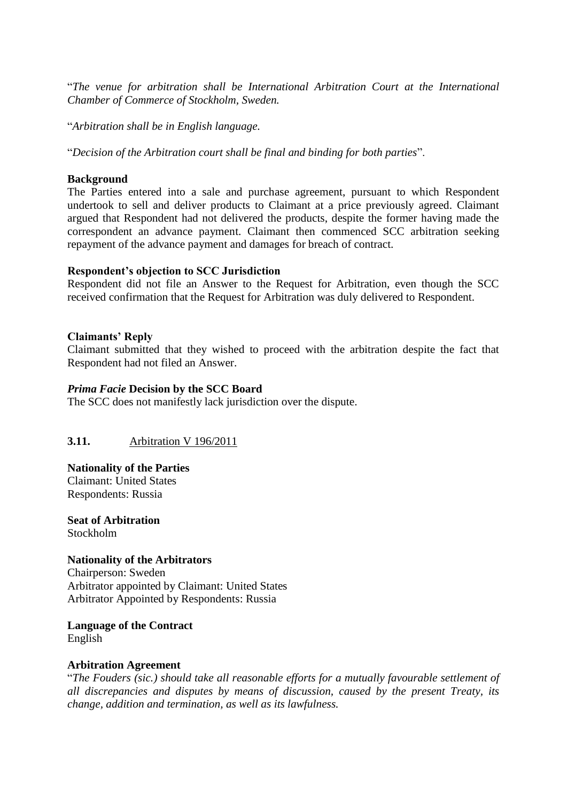"*The venue for arbitration shall be International Arbitration Court at the International Chamber of Commerce of Stockholm, Sweden.*

"*Arbitration shall be in English language.*

"*Decision of the Arbitration court shall be final and binding for both parties*".

## **Background**

The Parties entered into a sale and purchase agreement, pursuant to which Respondent undertook to sell and deliver products to Claimant at a price previously agreed. Claimant argued that Respondent had not delivered the products, despite the former having made the correspondent an advance payment. Claimant then commenced SCC arbitration seeking repayment of the advance payment and damages for breach of contract.

### **Respondent's objection to SCC Jurisdiction**

Respondent did not file an Answer to the Request for Arbitration, even though the SCC received confirmation that the Request for Arbitration was duly delivered to Respondent.

## **Claimants' Reply**

Claimant submitted that they wished to proceed with the arbitration despite the fact that Respondent had not filed an Answer.

## *Prima Facie* **Decision by the SCC Board**

The SCC does not manifestly lack jurisdiction over the dispute.

# **3.11.** Arbitration V 196/2011

# **Nationality of the Parties**

Claimant: United States Respondents: Russia

**Seat of Arbitration** Stockholm

### **Nationality of the Arbitrators**

Chairperson: Sweden Arbitrator appointed by Claimant: United States Arbitrator Appointed by Respondents: Russia

**Language of the Contract** English

### **Arbitration Agreement**

"*The Fouders (sic.) should take all reasonable efforts for a mutually favourable settlement of all discrepancies and disputes by means of discussion, caused by the present Treaty, its change, addition and termination, as well as its lawfulness.*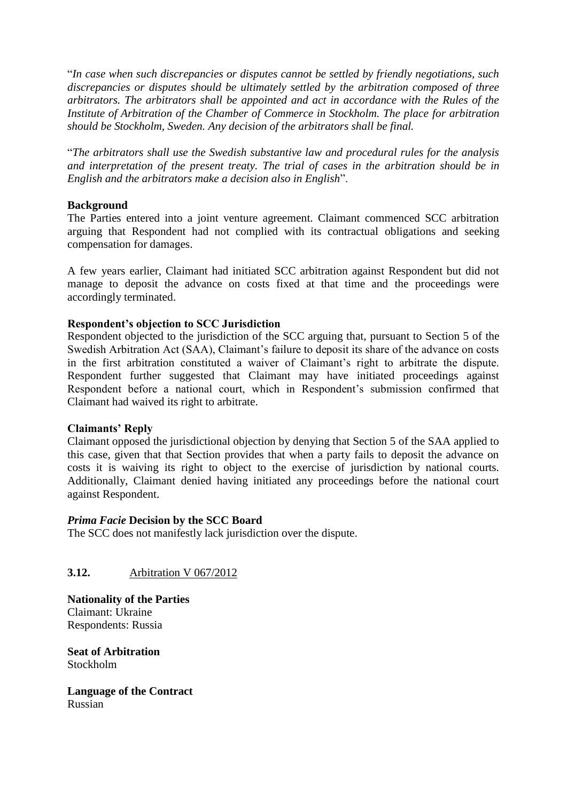"*In case when such discrepancies or disputes cannot be settled by friendly negotiations, such discrepancies or disputes should be ultimately settled by the arbitration composed of three arbitrators. The arbitrators shall be appointed and act in accordance with the Rules of the Institute of Arbitration of the Chamber of Commerce in Stockholm. The place for arbitration should be Stockholm, Sweden. Any decision of the arbitrators shall be final.*

"*The arbitrators shall use the Swedish substantive law and procedural rules for the analysis and interpretation of the present treaty. The trial of cases in the arbitration should be in English and the arbitrators make a decision also in English*".

### **Background**

The Parties entered into a joint venture agreement. Claimant commenced SCC arbitration arguing that Respondent had not complied with its contractual obligations and seeking compensation for damages.

A few years earlier, Claimant had initiated SCC arbitration against Respondent but did not manage to deposit the advance on costs fixed at that time and the proceedings were accordingly terminated.

## **Respondent's objection to SCC Jurisdiction**

Respondent objected to the jurisdiction of the SCC arguing that, pursuant to Section 5 of the Swedish Arbitration Act (SAA), Claimant's failure to deposit its share of the advance on costs in the first arbitration constituted a waiver of Claimant's right to arbitrate the dispute. Respondent further suggested that Claimant may have initiated proceedings against Respondent before a national court, which in Respondent's submission confirmed that Claimant had waived its right to arbitrate.

### **Claimants' Reply**

Claimant opposed the jurisdictional objection by denying that Section 5 of the SAA applied to this case, given that that Section provides that when a party fails to deposit the advance on costs it is waiving its right to object to the exercise of jurisdiction by national courts. Additionally, Claimant denied having initiated any proceedings before the national court against Respondent.

### *Prima Facie* **Decision by the SCC Board**

The SCC does not manifestly lack jurisdiction over the dispute.

# **3.12.** Arbitration V 067/2012

**Nationality of the Parties** Claimant: Ukraine Respondents: Russia

**Seat of Arbitration** Stockholm

**Language of the Contract** Russian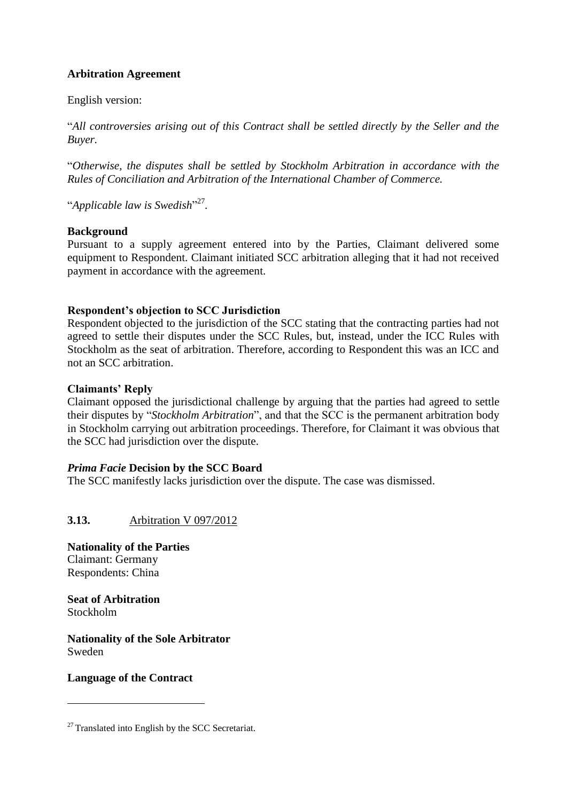# **Arbitration Agreement**

English version:

"*All controversies arising out of this Contract shall be settled directly by the Seller and the Buyer.* 

"*Otherwise, the disputes shall be settled by Stockholm Arbitration in accordance with the Rules of Conciliation and Arbitration of the International Chamber of Commerce.* 

"*Applicable law is Swedish*" 27 *.*

# **Background**

Pursuant to a supply agreement entered into by the Parties, Claimant delivered some equipment to Respondent. Claimant initiated SCC arbitration alleging that it had not received payment in accordance with the agreement.

# **Respondent's objection to SCC Jurisdiction**

Respondent objected to the jurisdiction of the SCC stating that the contracting parties had not agreed to settle their disputes under the SCC Rules, but, instead, under the ICC Rules with Stockholm as the seat of arbitration. Therefore, according to Respondent this was an ICC and not an SCC arbitration.

## **Claimants' Reply**

Claimant opposed the jurisdictional challenge by arguing that the parties had agreed to settle their disputes by "*Stockholm Arbitration*", and that the SCC is the permanent arbitration body in Stockholm carrying out arbitration proceedings. Therefore, for Claimant it was obvious that the SCC had jurisdiction over the dispute.

# *Prima Facie* **Decision by the SCC Board**

The SCC manifestly lacks jurisdiction over the dispute. The case was dismissed.

**3.13.** Arbitration V 097/2012

**Nationality of the Parties** Claimant: Germany Respondents: China

**Seat of Arbitration** Stockholm

<u>.</u>

**Nationality of the Sole Arbitrator** Sweden

# **Language of the Contract**

 $27$  Translated into English by the SCC Secretariat.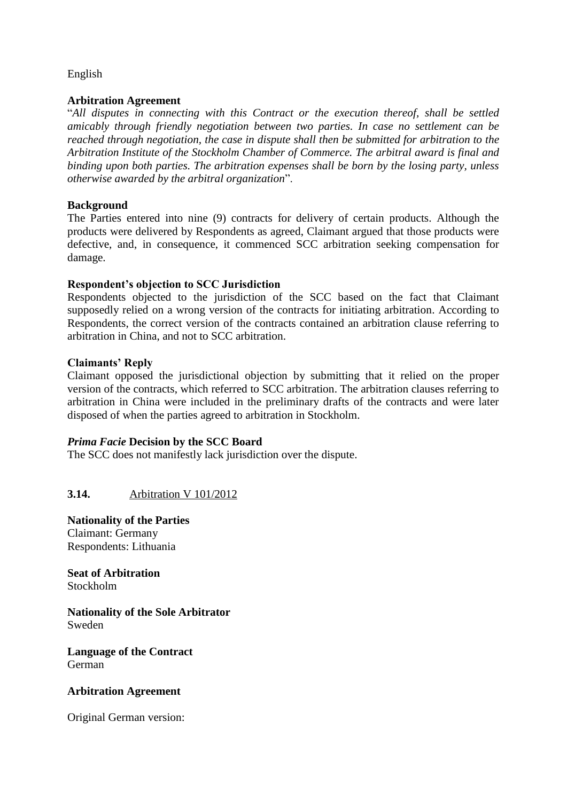# English

### **Arbitration Agreement**

"*All disputes in connecting with this Contract or the execution thereof, shall be settled amicably through friendly negotiation between two parties. In case no settlement can be reached through negotiation, the case in dispute shall then be submitted for arbitration to the Arbitration Institute of the Stockholm Chamber of Commerce. The arbitral award is final and binding upon both parties. The arbitration expenses shall be born by the losing party, unless otherwise awarded by the arbitral organization*".

### **Background**

The Parties entered into nine (9) contracts for delivery of certain products. Although the products were delivered by Respondents as agreed, Claimant argued that those products were defective, and, in consequence, it commenced SCC arbitration seeking compensation for damage.

## **Respondent's objection to SCC Jurisdiction**

Respondents objected to the jurisdiction of the SCC based on the fact that Claimant supposedly relied on a wrong version of the contracts for initiating arbitration. According to Respondents, the correct version of the contracts contained an arbitration clause referring to arbitration in China, and not to SCC arbitration.

## **Claimants' Reply**

Claimant opposed the jurisdictional objection by submitting that it relied on the proper version of the contracts, which referred to SCC arbitration. The arbitration clauses referring to arbitration in China were included in the preliminary drafts of the contracts and were later disposed of when the parties agreed to arbitration in Stockholm.

### *Prima Facie* **Decision by the SCC Board**

The SCC does not manifestly lack jurisdiction over the dispute.

# **3.14.** Arbitration V 101/2012

**Nationality of the Parties** Claimant: Germany Respondents: Lithuania

**Seat of Arbitration** Stockholm

**Nationality of the Sole Arbitrator** Sweden

**Language of the Contract** German

### **Arbitration Agreement**

Original German version: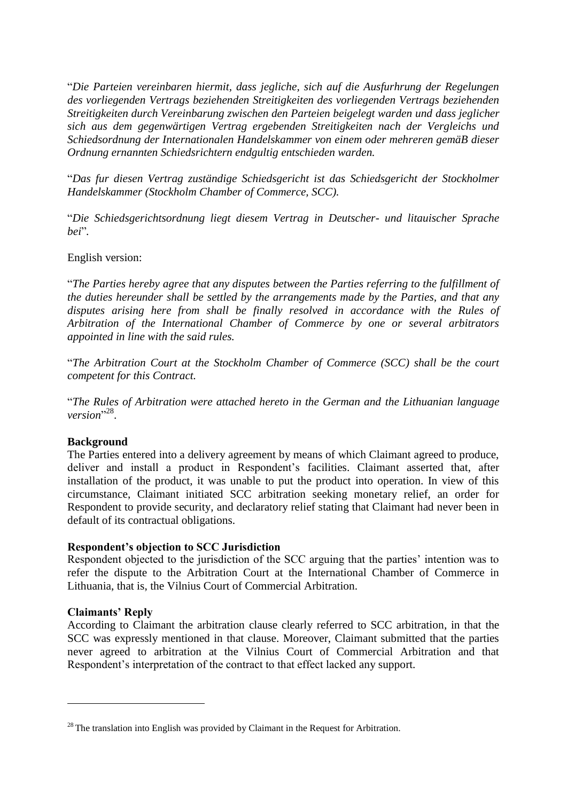"*Die Parteien vereinbaren hiermit, dass jegliche, sich auf die Ausfurhrung der Regelungen des vorliegenden Vertrags beziehenden Streitigkeiten des vorliegenden Vertrags beziehenden Streitigkeiten durch Vereinbarung zwischen den Parteien beigelegt warden und dass jeglicher sich aus dem gegenwärtigen Vertrag ergebenden Streitigkeiten nach der Vergleichs und Schiedsordnung der Internationalen Handelskammer von einem oder mehreren gemäB dieser Ordnung ernannten Schiedsrichtern endgultig entschieden warden.* 

"*Das fur diesen Vertrag zuständige Schiedsgericht ist das Schiedsgericht der Stockholmer Handelskammer (Stockholm Chamber of Commerce, SCC).* 

"*Die Schiedsgerichtsordnung liegt diesem Vertrag in Deutscher- und litauischer Sprache bei*"*.*

### English version:

"*The Parties hereby agree that any disputes between the Parties referring to the fulfillment of the duties hereunder shall be settled by the arrangements made by the Parties, and that any*  disputes arising here from shall be finally resolved in accordance with the Rules of *Arbitration of the International Chamber of Commerce by one or several arbitrators appointed in line with the said rules.*

"*The Arbitration Court at the Stockholm Chamber of Commerce (SCC) shall be the court competent for this Contract.* 

"*The Rules of Arbitration were attached hereto in the German and the Lithuanian language*  version"<sup>28</sup>.

# **Background**

The Parties entered into a delivery agreement by means of which Claimant agreed to produce, deliver and install a product in Respondent's facilities. Claimant asserted that, after installation of the product, it was unable to put the product into operation. In view of this circumstance, Claimant initiated SCC arbitration seeking monetary relief, an order for Respondent to provide security, and declaratory relief stating that Claimant had never been in default of its contractual obligations.

### **Respondent's objection to SCC Jurisdiction**

Respondent objected to the jurisdiction of the SCC arguing that the parties' intention was to refer the dispute to the Arbitration Court at the International Chamber of Commerce in Lithuania, that is, the Vilnius Court of Commercial Arbitration.

# **Claimants' Reply**

<u>.</u>

According to Claimant the arbitration clause clearly referred to SCC arbitration, in that the SCC was expressly mentioned in that clause. Moreover, Claimant submitted that the parties never agreed to arbitration at the Vilnius Court of Commercial Arbitration and that Respondent's interpretation of the contract to that effect lacked any support.

 $28$  The translation into English was provided by Claimant in the Request for Arbitration.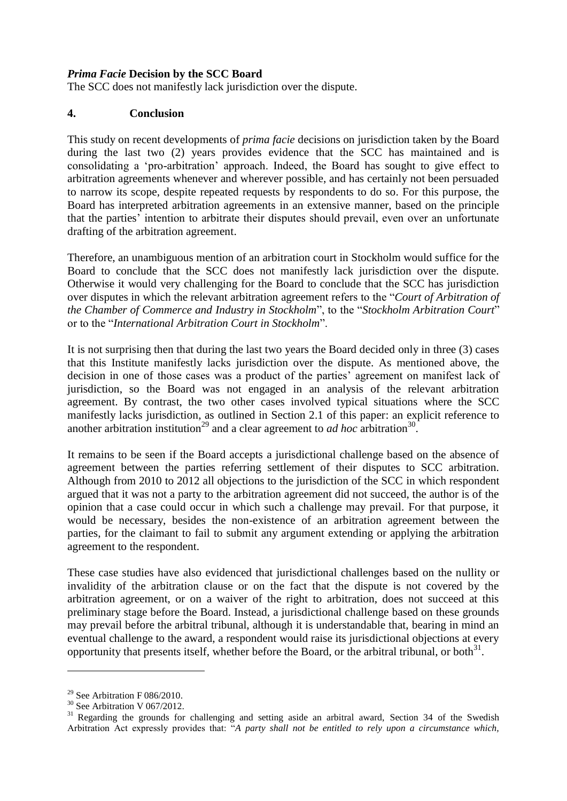### *Prima Facie* **Decision by the SCC Board**

The SCC does not manifestly lack jurisdiction over the dispute.

### **4. Conclusion**

This study on recent developments of *prima facie* decisions on jurisdiction taken by the Board during the last two (2) years provides evidence that the SCC has maintained and is consolidating a 'pro-arbitration' approach. Indeed, the Board has sought to give effect to arbitration agreements whenever and wherever possible, and has certainly not been persuaded to narrow its scope, despite repeated requests by respondents to do so. For this purpose, the Board has interpreted arbitration agreements in an extensive manner, based on the principle that the parties' intention to arbitrate their disputes should prevail, even over an unfortunate drafting of the arbitration agreement.

Therefore, an unambiguous mention of an arbitration court in Stockholm would suffice for the Board to conclude that the SCC does not manifestly lack jurisdiction over the dispute. Otherwise it would very challenging for the Board to conclude that the SCC has jurisdiction over disputes in which the relevant arbitration agreement refers to the "*Court of Arbitration of the Chamber of Commerce and Industry in Stockholm*", to the "*Stockholm Arbitration Court*" or to the "*International Arbitration Court in Stockholm*".

It is not surprising then that during the last two years the Board decided only in three (3) cases that this Institute manifestly lacks jurisdiction over the dispute. As mentioned above, the decision in one of those cases was a product of the parties' agreement on manifest lack of jurisdiction, so the Board was not engaged in an analysis of the relevant arbitration agreement. By contrast, the two other cases involved typical situations where the SCC manifestly lacks jurisdiction, as outlined in Section 2.1 of this paper: an explicit reference to another arbitration institution<sup>29</sup> and a clear agreement to *ad hoc* arbitration<sup>30</sup>.

It remains to be seen if the Board accepts a jurisdictional challenge based on the absence of agreement between the parties referring settlement of their disputes to SCC arbitration. Although from 2010 to 2012 all objections to the jurisdiction of the SCC in which respondent argued that it was not a party to the arbitration agreement did not succeed, the author is of the opinion that a case could occur in which such a challenge may prevail. For that purpose, it would be necessary, besides the non-existence of an arbitration agreement between the parties, for the claimant to fail to submit any argument extending or applying the arbitration agreement to the respondent.

These case studies have also evidenced that jurisdictional challenges based on the nullity or invalidity of the arbitration clause or on the fact that the dispute is not covered by the arbitration agreement, or on a waiver of the right to arbitration, does not succeed at this preliminary stage before the Board. Instead, a jurisdictional challenge based on these grounds may prevail before the arbitral tribunal, although it is understandable that, bearing in mind an eventual challenge to the award, a respondent would raise its jurisdictional objections at every opportunity that presents itself, whether before the Board, or the arbitral tribunal, or both $^{31}$ .

<u>.</u>

<sup>&</sup>lt;sup>29</sup> See Arbitration F 086/2010.

<sup>30</sup> See Arbitration V 067/2012.

<sup>&</sup>lt;sup>31</sup> Regarding the grounds for challenging and setting aside an arbitral award, Section 34 of the Swedish Arbitration Act expressly provides that: "*A party shall not be entitled to rely upon a circumstance which,*